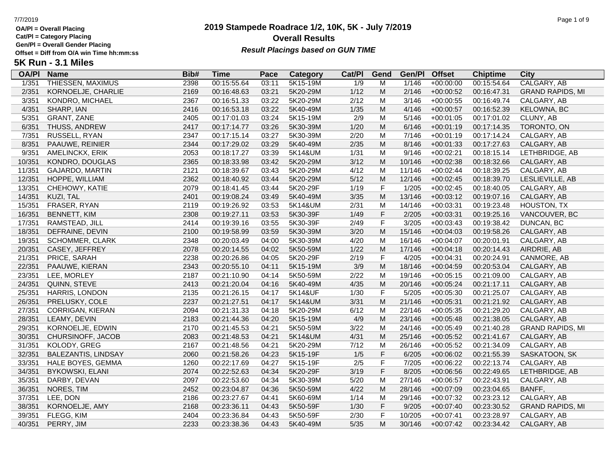**Cat/Pl = Category Placing**

**Gen/Pl = Overall Gender Placing**

# **2019 Stampede Roadrace 1/2, 10K, 5K - July 7/2019** 7/7/2019 Page 1 of 9 **Overall Results** Gen/PI = Overall Gender Placing<br>Offset = Diff from O/A win Time hh:mm:ss *Result Placings based on GUN TIME*

| <b>OA/PI</b> | <b>Name</b>                | Bib# | <b>Time</b> | Pace  | Category | Cat/PI           | Gend        | Gen/Pl | <b>Offset</b> | <b>Chiptime</b> | City                    |
|--------------|----------------------------|------|-------------|-------|----------|------------------|-------------|--------|---------------|-----------------|-------------------------|
| 1/351        | <b>THIESSEN, MAXIMUS</b>   | 2398 | 00:15:55.64 | 03:11 | 5K15-19M | $\overline{1/9}$ | M           | 1/146  | $+00:00:00$   | 00:15:54.64     | <b>CALGARY, AB</b>      |
| 2/351        | KORNOELJE, CHARLIE         | 2169 | 00:16:48.63 | 03:21 | 5K20-29M | $1/12$           | M           | 2/146  | $+00:00:52$   | 00:16:47.31     | <b>GRAND RAPIDS, MI</b> |
| 3/351        | KONDRO, MICHAEL            | 2367 | 00:16:51.33 | 03:22 | 5K20-29M | 2/12             | M           | 3/146  | $+00:00:55$   | 00:16:49.74     | CALGARY, AB             |
| 4/351        | SHARP, IAN                 | 2416 | 00:16:53.18 | 03:22 | 5K40-49M | 1/35             | M           | 4/146  | $+00:00:57$   | 00:16:52.39     | KELOWNA, BC             |
| 5/351        | GRANT, ZANE                | 2405 | 00:17:01.03 | 03:24 | 5K15-19M | 2/9              | M           | 5/146  | $+00:01:05$   | 00:17:01.02     | CLUNY, AB               |
| 6/351        | THUSS, ANDREW              | 2417 | 00:17:14.77 | 03:26 | 5K30-39M | 1/20             | M           | 6/146  | $+00:01:19$   | 00:17:14.35     | TORONTO, ON             |
| 7/351        | RUSSELL, RYAN              | 2347 | 00:17:15.14 | 03:27 | 5K30-39M | 2/20             | M           | 7/146  | $+00:01:19$   | 00:17:14.24     | CALGARY, AB             |
| 8/351        | PAAUWE, REINIER            | 2344 | 00:17:29.02 | 03:29 | 5K40-49M | 2/35             | M           | 8/146  | $+00:01:33$   | 00:17:27.63     | CALGARY, AB             |
| 9/351        | AMELINCKX, ERIK            | 2053 | 00:18:17.27 | 03:39 | 5K14&UM  | 1/31             | M           | 9/146  | $+00:02:21$   | 00:18:15.14     | LETHBRIDGE, AB          |
| 10/351       | KONDRO, DOUGLAS            | 2365 | 00:18:33.98 | 03:42 | 5K20-29M | 3/12             | M           | 10/146 | $+00:02:38$   | 00:18:32.66     | CALGARY, AB             |
| 11/351       | GAJARDO, MARTIN            | 2121 | 00:18:39.67 | 03:43 | 5K20-29M | 4/12             | M           | 11/146 | $+00:02:44$   | 00:18:39.25     | CALGARY, AB             |
| 12/351       | HOPPE, WILLIAM             | 2362 | 00:18:40.92 | 03:44 | 5K20-29M | $5/12$           | M           | 12/146 | $+00:02:45$   | 00:18:39.70     | LESLIEVILLE, AB         |
| 13/351       | CHEHOWY, KATIE             | 2079 | 00:18:41.45 | 03:44 | 5K20-29F | 1/19             | $\mathsf F$ | 1/205  | $+00:02:45$   | 00:18:40.05     | CALGARY, AB             |
| 14/351       | KUZI, TAL                  | 2401 | 00:19:08.24 | 03:49 | 5K40-49M | 3/35             | M           | 13/146 | $+00:03:12$   | 00:19:07.16     | CALGARY, AB             |
| 15/351       | FRASER, RYAN               | 2119 | 00:19:26.92 | 03:53 | 5K14&UM  | 2/31             | M           | 14/146 | $+00:03:31$   | 00:19:23.48     | <b>HOUSTON, TX</b>      |
| 16/351       | <b>BENNETT, KIM</b>        | 2308 | 00:19:27.11 | 03:53 | 5K30-39F | 1/49             | $\mathsf F$ | 2/205  | $+00:03:31$   | 00:19:25.16     | VANCOUVER, BC           |
| 17/351       | RAMSTEAD, JILL             | 2414 | 00:19:39.16 | 03:55 | 5K30-39F | 2/49             | $\mathsf F$ | 3/205  | $+00:03:43$   | 00:19:38.42     | DUNCAN, BC              |
| 18/351       | DEFRAINE, DEVIN            | 2100 | 00:19:58.99 | 03:59 | 5K30-39M | 3/20             | M           | 15/146 | $+00:04:03$   | 00:19:58.26     | CALGARY, AB             |
| 19/351       | SCHOMMER, CLARK            | 2348 | 00:20:03.49 | 04:00 | 5K30-39M | 4/20             | M           | 16/146 | $+00:04:07$   | 00:20:01.91     | CALGARY, AB             |
| 20/351       | CASEY, JEFFREY             | 2078 | 00:20:14.55 | 04:02 | 5K50-59M | 1/22             | M           | 17/146 | $+00:04:18$   | 00:20:14.43     | AIRDRIE, AB             |
| 21/351       | PRICE, SARAH               | 2238 | 00:20:26.86 | 04:05 | 5K20-29F | 2/19             | $\mathsf F$ | 4/205  | $+00:04:31$   | 00:20:24.91     | CANMORE, AB             |
| 22/351       | PAAUWE, KIERAN             | 2343 | 00:20:55.10 | 04:11 | 5K15-19M | 3/9              | M           | 18/146 | $+00:04:59$   | 00:20:53.04     | CALGARY, AB             |
| 23/351       | LEE, MORLEY                | 2187 | 00:21:10.90 | 04:14 | 5K50-59M | 2/22             | M           | 19/146 | $+00:05:15$   | 00:21:09.00     | CALGARY, AB             |
| 24/351       | QUINN, STEVE               | 2413 | 00:21:20.04 | 04:16 | 5K40-49M | 4/35             | M           | 20/146 | $+00:05:24$   | 00:21:17.11     | CALGARY, AB             |
| 25/351       | HARRIS, LONDON             | 2135 | 00:21:26.15 | 04:17 | 5K14&UF  | 1/30             | $\mathsf F$ | 5/205  | $+00:05:30$   | 00:21:25.07     | CALGARY, AB             |
| 26/351       | PRELUSKY, COLE             | 2237 | 00:21:27.51 | 04:17 | 5K14&UM  | 3/31             | M           | 21/146 | $+00:05:31$   | 00:21:21.92     | CALGARY, AB             |
| 27/351       | <b>CORRIGAN, KIERAN</b>    | 2094 | 00:21:31.33 | 04:18 | 5K20-29M | 6/12             | M           | 22/146 | $+00:05:35$   | 00:21:29.20     | CALGARY, AB             |
| 28/351       | LEAMY, DEVIN               | 2183 | 00:21:44.36 | 04:20 | 5K15-19M | 4/9              | M           | 23/146 | $+00:05:48$   | 00:21:38.05     | CALGARY, AB             |
| 29/351       | KORNOELJE, EDWIN           | 2170 | 00:21:45.53 | 04:21 | 5K50-59M | 3/22             | M           | 24/146 | $+00:05:49$   | 00:21:40.28     | <b>GRAND RAPIDS, MI</b> |
| 30/351       | CHURSINOFF, JACOB          | 2083 | 00:21:48.53 | 04:21 | 5K14&UM  | 4/31             | M           | 25/146 | $+00:05:52$   | 00:21:41.67     | CALGARY, AB             |
| 31/351       | KOLODY, GREG               | 2167 | 00:21:48.56 | 04:21 | 5K20-29M | 7/12             | M           | 26/146 | $+00:05:52$   | 00:21:34.09     | CALGARY, AB             |
| 32/351       | <b>BALEZANTIS, LINDSAY</b> | 2060 | 00:21:58.26 | 04:23 | 5K15-19F | 1/5              | $\mathsf F$ | 6/205  | $+00:06:02$   | 00:21:55.39     | SASKATOON, SK           |
| 33/351       | HALE BOYES, GEMMA          | 1260 | 00:22:17.69 | 04:27 | 5K15-19F | 2/5              | $\mathsf F$ | 7/205  | $+00:06:22$   | 00:22:13.74     | CALGARY, AB             |
| 34/351       | <b>BYKOWSKI, ELANI</b>     | 2074 | 00:22:52.63 | 04:34 | 5K20-29F | 3/19             | $\mathsf F$ | 8/205  | $+00:06:56$   | 00:22:49.65     | LETHBRIDGE, AB          |
| 35/351       | DARBY, DEVAN               | 2097 | 00:22:53.60 | 04:34 | 5K30-39M | 5/20             | M           | 27/146 | $+00:06:57$   | 00:22:43.91     | CALGARY, AB             |
| 36/351       | NORES, TIM                 | 2452 | 00:23:04.87 | 04:36 | 5K50-59M | 4/22             | M           | 28/146 | $+00:07:09$   | 00:23:04.65     | BANFF,                  |
| 37/351       | LEE, DON                   | 2186 | 00:23:27.67 | 04:41 | 5K60-69M | 1/14             | M           | 29/146 | $+00:07:32$   | 00:23:23.12     | CALGARY, AB             |
| 38/351       | KORNOELJE, AMY             | 2168 | 00:23:36.11 | 04:43 | 5K50-59F | 1/30             | $\mathsf F$ | 9/205  | $+00:07:40$   | 00:23:30.52     | <b>GRAND RAPIDS, MI</b> |
| 39/351       | FLEGG, KIM                 | 2404 | 00:23:36.84 | 04:43 | 5K50-59F | 2/30             | $\mathsf F$ | 10/205 | $+00:07:41$   | 00:23:28.97     | CALGARY, AB             |
| 40/351       | PERRY, JIM                 | 2233 | 00:23:38.36 | 04:43 | 5K40-49M | $5/35$           | M           | 30/146 | $+00:07:42$   | 00:23:34.42     | CALGARY, AB             |
|              |                            |      |             |       |          |                  |             |        |               |                 |                         |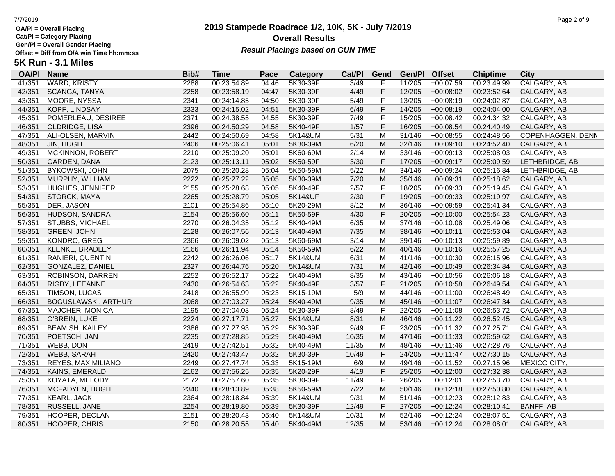**Cat/Pl = Category Placing**

**Gen/Pl = Overall Gender Placing**

# **2019 Stampede Roadrace 1/2, 10K, 5K - July 7/2019** 7/7/2019 Page 2 of 9 **Overall Results** Gen/PI = Overall Gender Placing<br>Offset = Diff from O/A win Time hh:mm:ss *Result Placings based on GUN TIME*

| <b>OA/PI</b> | <b>Name</b>                | Bib# | <b>Time</b> | Pace  | Category | Cat/PI         | Gend        | Gen/Pl | <b>Offset</b> | <b>Chiptime</b> | City              |
|--------------|----------------------------|------|-------------|-------|----------|----------------|-------------|--------|---------------|-----------------|-------------------|
| 41/351       | <b>WARD, KRISTY</b>        | 2288 | 00:23:54.89 | 04:46 | 5K30-39F | $\frac{3}{49}$ | F           | 11/205 | $+00:07:59$   | 00:23:49.99     | CALGARY, AB       |
| 42/351       | SCANGA, TANYA              | 2258 | 00:23:58.19 | 04:47 | 5K30-39F | 4/49           | F           | 12/205 | $+00:08:02$   | 00:23:52.64     | CALGARY, AB       |
| 43/351       | MOORE, NYSSA               | 2341 | 00:24:14.85 | 04:50 | 5K30-39F | 5/49           | $\mathsf F$ | 13/205 | $+00:08:19$   | 00:24:02.87     | CALGARY, AB       |
| 44/351       | KOPF, LINDSAY              | 2333 | 00:24:15.02 | 04:51 | 5K30-39F | 6/49           | $\mathsf F$ | 14/205 | $+00:08:19$   | 00:24:04.00     | CALGARY, AB       |
| 45/351       | POMERLEAU, DESIREE         | 2371 | 00:24:38.55 | 04:55 | 5K30-39F | 7/49           | F           | 15/205 | $+00:08:42$   | 00:24:34.32     | CALGARY, AB       |
| 46/351       | OLDRIDGE, LISA             | 2396 | 00:24:50.29 | 04:58 | 5K40-49F | 1/57           | F           | 16/205 | $+00:08:54$   | 00:24:40.49     | CALGARY, AB       |
| 47/351       | ALI-OLSEN, MARVIN          | 2442 | 00:24:50.69 | 04:58 | 5K14&UM  | 5/31           | M           | 31/146 | $+00:08:55$   | 00:24:48.56     | COPENHAGGEN, DENN |
| 48/351       | JIN, HUGH                  | 2406 | 00:25:06.41 | 05:01 | 5K30-39M | 6/20           | M           | 32/146 | $+00:09:10$   | 00:24:52.40     | CALGARY, AB       |
| 49/351       | MCKINNON, ROBERT           | 2210 | 00:25:09.20 | 05:01 | 5K60-69M | 2/14           | M           | 33/146 | $+00:09:13$   | 00:25:08.03     | CALGARY, AB       |
| 50/351       | GARDEN, DANA               | 2123 | 00:25:13.11 | 05:02 | 5K50-59F | 3/30           | $\mathsf F$ | 17/205 | $+00:09:17$   | 00:25:09.59     | LETHBRIDGE, AB    |
| 51/351       | <b>BYKOWSKI, JOHN</b>      | 2075 | 00:25:20.28 | 05:04 | 5K50-59M | 5/22           | M           | 34/146 | $+00:09:24$   | 00:25:16.84     | LETHBRIDGE, AB    |
| 52/351       | MURPHY, WILLIAM            | 2222 | 00:25:27.22 | 05:05 | 5K30-39M | 7/20           | M           | 35/146 | $+00:09:31$   | 00:25:18.62     | CALGARY, AB       |
| 53/351       | <b>HUGHES, JENNIFER</b>    | 2155 | 00:25:28.68 | 05:05 | 5K40-49F | 2/57           | F           | 18/205 | $+00:09:33$   | 00:25:19.45     | CALGARY, AB       |
| 54/351       | STORCK, MAYA               | 2265 | 00:25:28.79 | 05:05 | 5K14&UF  | 2/30           | F           | 19/205 | $+00:09:33$   | 00:25:19.97     | CALGARY, AB       |
| 55/351       | DER, JASON                 | 2101 | 00:25:54.86 | 05:10 | 5K20-29M | 8/12           | M           | 36/146 | $+00:09:59$   | 00:25:41.34     | CALGARY, AB       |
| 56/351       | HUDSON, SANDRA             | 2154 | 00:25:56.60 | 05:11 | 5K50-59F | 4/30           | $\mathsf F$ | 20/205 | $+00:10:00$   | 00:25:54.23     | CALGARY, AB       |
| 57/351       | STUBBS, MICHAEL            | 2270 | 00:26:04.35 | 05:12 | 5K40-49M | 6/35           | M           | 37/146 | $+00:10:08$   | 00:25:49.06     | CALGARY, AB       |
| 58/351       | <b>GREEN, JOHN</b>         | 2128 | 00:26:07.56 | 05:13 | 5K40-49M | 7/35           | M           | 38/146 | $+00:10:11$   | 00:25:53.04     | CALGARY, AB       |
| 59/351       | KONDRO, GREG               | 2366 | 00:26:09.02 | 05:13 | 5K60-69M | 3/14           | M           | 39/146 | $+00:10:13$   | 00:25:59.89     | CALGARY, AB       |
| 60/351       | KLENKE, BRADLEY            | 2166 | 00:26:11.94 | 05:14 | 5K50-59M | 6/22           | M           | 40/146 | $+00:10:16$   | 00:25:57.25     | CALGARY, AB       |
| 61/351       | RANIERI, QUENTIN           | 2242 | 00:26:26.06 | 05:17 | 5K14&UM  | 6/31           | M           | 41/146 | $+00:10:30$   | 00:26:15.96     | CALGARY, AB       |
| 62/351       | GONZALEZ, DANIEL           | 2327 | 00:26:44.76 | 05:20 | 5K14&UM  | 7/31           | M           | 42/146 | $+00:10:49$   | 00:26:34.84     | CALGARY, AB       |
| 63/351       | ROBINSON, DARREN           | 2252 | 00:26:52.17 | 05:22 | 5K40-49M | 8/35           | M           | 43/146 | $+00:10:56$   | 00:26:06.18     | CALGARY, AB       |
| 64/351       | RIGBY, LEEANNE             | 2430 | 00:26:54.63 | 05:22 | 5K40-49F | 3/57           | $\mathsf F$ | 21/205 | $+00:10:58$   | 00:26:49.54     | CALGARY, AB       |
| 65/351       | TIMSON, LUCAS              | 2418 | 00:26:55.99 | 05:23 | 5K15-19M | 5/9            | M           | 44/146 | $+00:11:00$   | 00:26:48.49     | CALGARY, AB       |
| 66/351       | <b>BOGUSLAWSKI, ARTHUR</b> | 2068 | 00:27:03.27 | 05:24 | 5K40-49M | 9/35           | M           | 45/146 | $+00:11:07$   | 00:26:47.34     | CALGARY, AB       |
| 67/351       | MAJCHER, MONICA            | 2195 | 00:27:04.03 | 05:24 | 5K30-39F | 8/49           | $\mathsf F$ | 22/205 | $+00:11:08$   | 00:26:53.72     | CALGARY, AB       |
| 68/351       | O'BREIN, LUKE              | 2224 | 00:27:17.71 | 05:27 | 5K14&UM  | 8/31           | M           | 46/146 | $+00:11:22$   | 00:26:52.45     | CALGARY, AB       |
| 69/351       | <b>BEAMISH, KAILEY</b>     | 2386 | 00:27:27.93 | 05:29 | 5K30-39F | 9/49           | F           | 23/205 | $+00:11:32$   | 00:27:25.71     | CALGARY, AB       |
| 70/351       | POETSCH, JAN               | 2235 | 00:27:28.85 | 05:29 | 5K40-49M | 10/35          | M           | 47/146 | $+00:11:33$   | 00:26:59.62     | CALGARY, AB       |
| 71/351       | WEBB, DON                  | 2419 | 00:27:42.51 | 05:32 | 5K40-49M | 11/35          | M           | 48/146 | $+00:11:46$   | 00:27:28.76     | CALGARY, AB       |
| 72/351       | WEBB, SARAH                | 2420 | 00:27:43.47 | 05:32 | 5K30-39F | 10/49          | $\mathsf F$ | 24/205 | $+00:11:47$   | 00:27:30.15     | CALGARY, AB       |
| 73/351       | REYES, MAXIMILIANO         | 2249 | 00:27:47.74 | 05:33 | 5K15-19M | 6/9            | M           | 49/146 | $+00:11:52$   | 00:27:15.96     | MEXICO CITY,      |
| 74/351       | KAINS, EMERALD             | 2162 | 00:27:56.25 | 05:35 | 5K20-29F | 4/19           | F           | 25/205 | $+00:12:00$   | 00:27:32.38     | CALGARY, AB       |
| 75/351       | KOYATA, MELODY             | 2172 | 00:27:57.60 | 05:35 | 5K30-39F | 11/49          | $\mathsf F$ | 26/205 | $+00:12:01$   | 00:27:53.70     | CALGARY, AB       |
| 76/351       | MCFADYEN, HUGH             | 2340 | 00:28:13.89 | 05:38 | 5K50-59M | $7/22$         | M           | 50/146 | $+00:12:18$   | 00:27:50.80     | CALGARY, AB       |
| 77/351       | <b>KEARL, JACK</b>         | 2364 | 00:28:18.84 | 05:39 | 5K14&UM  | 9/31           | M           | 51/146 | $+00:12:23$   | 00:28:12.83     | CALGARY, AB       |
| 78/351       | RUSSELL, JANE              | 2254 | 00:28:19.80 | 05:39 | 5K30-39F | 12/49          | $\mathsf F$ | 27/205 | $+00:12:24$   | 00:28:10.41     | <b>BANFF, AB</b>  |
| 79/351       | HOOPER, DECLAN             | 2151 | 00:28:20.43 | 05:40 | 5K14&UM  | 10/31          | M           | 52/146 | $+00:12:24$   | 00:28:07.51     | CALGARY, AB       |
| 80/351       | HOOPER, CHRIS              | 2150 | 00:28:20.55 | 05:40 | 5K40-49M | 12/35          | M           | 53/146 | $+00:12:24$   | 00:28:08.01     | CALGARY, AB       |
|              |                            |      |             |       |          |                |             |        |               |                 |                   |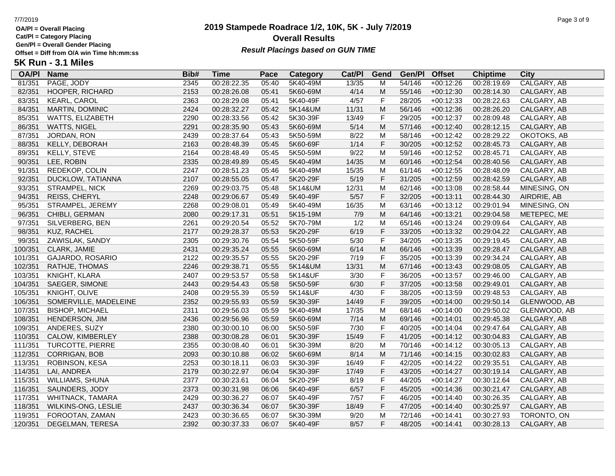**Cat/Pl = Category Placing**

**Gen/Pl = Overall Gender Placing**

### **2019 Stampede Roadrace 1/2, 10K, 5K - July 7/2019** 7/7/2019 Page 3 of 9 **Overall Results Result Placings based on GUN TIME**

| <b>OA/PI</b> | <b>Name</b>             | Bib# | Time        | Pace  | <b>Category</b> | Cat/PI | Gend         | Gen/Pl | <b>Offset</b> | <b>Chiptime</b> | City         |
|--------------|-------------------------|------|-------------|-------|-----------------|--------|--------------|--------|---------------|-----------------|--------------|
| 81/351       | PAGE, JODY              | 2345 | 00:28:22.35 | 05:40 | 5K40-49M        | 13/35  | м            | 54/146 | $+00:12:26$   | 00:28:19.69     | CALGARY, AB  |
| 82/351       | HOOPER, RICHARD         | 2153 | 00:28:26.08 | 05:41 | 5K60-69M        | 4/14   | M            | 55/146 | $+00:12:30$   | 00:28:14.30     | CALGARY, AB  |
| 83/351       | KEARL, CAROL            | 2363 | 00:28:29.08 | 05:41 | 5K40-49F        | 4/57   | $\mathsf F$  | 28/205 | $+00:12:33$   | 00:28:22.63     | CALGARY, AB  |
| 84/351       | <b>MARTIN, DOMINIC</b>  | 2424 | 00:28:32.27 | 05:42 | 5K14&UM         | 11/31  | ${\sf M}$    | 56/146 | $+00:12:36$   | 00:28:26.20     | CALGARY, AB  |
| 85/351       | <b>WATTS, ELIZABETH</b> | 2290 | 00:28:33.56 | 05:42 | 5K30-39F        | 13/49  | $\mathsf F$  | 29/205 | $+00:12:37$   | 00:28:09.48     | CALGARY, AB  |
| 86/351       | <b>WATTS, NIGEL</b>     | 2291 | 00:28:35.90 | 05:43 | 5K60-69M        | 5/14   | M            | 57/146 | $+00:12:40$   | 00:28:12.15     | CALGARY, AB  |
| 87/351       | JORDAN, RON             | 2439 | 00:28:37.64 | 05:43 | 5K50-59M        | 8/22   | M            | 58/146 | $+00:12:42$   | 00:28:29.22     | OKOTOKS, AB  |
| 88/351       | KELLY, DEBORAH          | 2163 | 00:28:48.39 | 05:45 | 5K60-69F        | 1/14   | $\mathsf F$  | 30/205 | $+00:12:52$   | 00:28:45.73     | CALGARY, AB  |
| 89/351       | KELLY, STEVE            | 2164 | 00:28:48.49 | 05:45 | 5K50-59M        | 9/22   | M            | 59/146 | $+00:12:52$   | 00:28:45.71     | CALGARY, AB  |
| 90/351       | LEE, ROBIN              | 2335 | 00:28:49.89 | 05:45 | 5K40-49M        | 14/35  | ${\sf M}$    | 60/146 | $+00:12:54$   | 00:28:40.56     | CALGARY, AB  |
| 91/351       | REDEKOP, COLIN          | 2247 | 00:28:51.23 | 05:46 | 5K40-49M        | 15/35  | M            | 61/146 | $+00:12:55$   | 00:28:48.09     | CALGARY, AB  |
| 92/351       | DUCKLOW, TATIANNA       | 2107 | 00:28:55.05 | 05:47 | 5K20-29F        | 5/19   | $\mathsf F$  | 31/205 | $+00:12:59$   | 00:28:42.59     | CALGARY, AB  |
| 93/351       | STRAMPEL, NICK          | 2269 | 00:29:03.75 | 05:48 | 5K14&UM         | 12/31  | M            | 62/146 | $+00:13:08$   | 00:28:58.44     | MINESING, ON |
| 94/351       | <b>REISS, CHERYL</b>    | 2248 | 00:29:06.67 | 05:49 | 5K40-49F        | 5/57   | F            | 32/205 | $+00:13:11$   | 00:28:44.30     | AIRDRIE, AB  |
| 95/351       | STRAMPEL, JEREMY        | 2268 | 00:29:08.01 | 05:49 | 5K40-49M        | 16/35  | M            | 63/146 | $+00:13:12$   | 00:29:01.94     | MINESING, ON |
| 96/351       | CHIBLI, GERMAN          | 2080 | 00:29:17.31 | 05:51 | 5K15-19M        | 7/9    | ${\sf M}$    | 64/146 | $+00:13:21$   | 00:29:04.58     | METEPEC, ME  |
| 97/351       | SILVERBERG, BEN         | 2261 | 00:29:20.54 | 05:52 | 5K70-79M        | 1/2    | M            | 65/146 | $+00:13:24$   | 00:29:09.64     | CALGARY, AB  |
| 98/351       | KUZ, RACHEL             | 2177 | 00:29:28.37 | 05:53 | 5K20-29F        | 6/19   | F            | 33/205 | $+00:13:32$   | 00:29:04.22     | CALGARY, AB  |
| 99/351       | ZAWISLAK, SANDY         | 2305 | 00:29:30.76 | 05:54 | 5K50-59F        | $5/30$ | $\mathsf F$  | 34/205 | $+00:13:35$   | 00:29:19.45     | CALGARY, AB  |
| 100/351      | CLARK, JAMIE            | 2431 | 00:29:35.24 | 05:55 | 5K60-69M        | 6/14   | ${\sf M}$    | 66/146 | $+00:13:39$   | 00:29:28.47     | CALGARY, AB  |
| 101/351      | GAJARDO, ROSARIO        | 2122 | 00:29:35.57 | 05:55 | 5K20-29F        | 7/19   | $\mathsf F$  | 35/205 | $+00:13:39$   | 00:29:34.24     | CALGARY, AB  |
| 102/351      | RATHJE, THOMAS          | 2246 | 00:29:38.71 | 05:55 | 5K14&UM         | 13/31  | M            | 67/146 | $+00:13:43$   | 00:29:08.05     | CALGARY, AB  |
| 103/351      | KNIGHT, KLARA           | 2407 | 00:29:53.57 | 05:58 | 5K14&UF         | 3/30   | $\mathsf{F}$ | 36/205 | $+00:13:57$   | 00:29:46.00     | CALGARY, AB  |
| 104/351      | SAEGER, SIMONE          | 2443 | 00:29:54.43 | 05:58 | 5K50-59F        | 6/30   | $\mathsf F$  | 37/205 | $+00:13:58$   | 00:29:49.01     | CALGARY, AB  |
| 105/351      | KNIGHT, OLIVE           | 2408 | 00:29:55.39 | 05:59 | 5K14&UF         | 4/30   | $\mathsf F$  | 38/205 | $+00:13:59$   | 00:29:48.53     | CALGARY, AB  |
| 106/351      | SOMERVILLE, MADELEINE   | 2352 | 00:29:55.93 | 05:59 | 5K30-39F        | 14/49  | $\mathsf F$  | 39/205 | $+00:14:00$   | 00:29:50.14     | GLENWOOD, AB |
| 107/351      | <b>BISHOP, MICHAEL</b>  | 2311 | 00:29:56.03 | 05:59 | 5K40-49M        | 17/35  | M            | 68/146 | $+00:14:00$   | 00:29:50.02     | GLENWOOD, AB |
| 108/351      | HENDERSON, JIM          | 2436 | 00:29:56.96 | 05:59 | 5K60-69M        | 7/14   | M            | 69/146 | $+00:14:01$   | 00:29:45.38     | CALGARY, AB  |
| 109/351      | ANDERES, SUZY           | 2380 | 00:30:00.10 | 06:00 | 5K50-59F        | 7/30   | $\mathsf F$  | 40/205 | $+00:14:04$   | 00:29:47.64     | CALGARY, AB  |
| 110/351      | CALOW, KIMBERLEY        | 2388 | 00:30:08.28 | 06:01 | 5K30-39F        | 15/49  | $\mathsf F$  | 41/205 | $+00:14:12$   | 00:30:04.83     | CALGARY, AB  |
| 111/351      | TURCOTTE, PIERRE        | 2355 | 00:30:08.40 | 06:01 | 5K30-39M        | 8/20   | M            | 70/146 | $+00:14:12$   | 00:30:05.13     | CALGARY, AB  |
| 112/351      | CORRIGAN, BOB           | 2093 | 00:30:10.88 | 06:02 | 5K60-69M        | 8/14   | ${\sf M}$    | 71/146 | $+00:14:15$   | 00:30:02.83     | CALGARY, AB  |
| 113/351      | ROBINSON, KESA          | 2253 | 00:30:18.11 | 06:03 | 5K30-39F        | 16/49  | $\mathsf F$  | 42/205 | $+00:14:22$   | 00:29:35.51     | CALGARY, AB  |
| 114/351      | LAI, ANDREA             | 2179 | 00:30:22.97 | 06:04 | 5K30-39F        | 17/49  | $\mathsf F$  | 43/205 | $+00:14:27$   | 00:30:19.14     | CALGARY, AB  |
| 115/351      | WILLIAMS, SHUNA         | 2377 | 00:30:23.61 | 06:04 | 5K20-29F        | 8/19   | $\mathsf F$  | 44/205 | $+00:14:27$   | 00:30:12.64     | CALGARY, AB  |
| 116/351      | SAUNDERS, JODY          | 2373 | 00:30:31.98 | 06:06 | 5K40-49F        | 6/57   | $\mathsf F$  | 45/205 | $+00:14:36$   | 00:30:21.47     | CALGARY, AB  |
| 117/351      | <b>WHITNACK, TAMARA</b> | 2429 | 00:30:36.27 | 06:07 | 5K40-49F        | 7/57   | $\mathsf F$  | 46/205 | $+00:14:40$   | 00:30:26.35     | CALGARY, AB  |
| 118/351      | WILKINS-ONG, LESLIE     | 2437 | 00:30:36.34 | 06:07 | 5K30-39F        | 18/49  | $\mathsf F$  | 47/205 | $+00:14:40$   | 00:30:25.97     | CALGARY, AB  |
| 119/351      | FOROOTAN, ZAMAN         | 2423 | 00:30:36.65 | 06:07 | 5K30-39M        | 9/20   | M            | 72/146 | $+00:14:41$   | 00:30:27.93     | TORONTO, ON  |
| 120/351      | DEGELMAN, TERESA        | 2392 | 00:30:37.33 | 06:07 | 5K40-49F        | 8/57   | F            | 48/205 | $+00:14:41$   | 00:30:28.13     | CALGARY, AB  |
|              |                         |      |             |       |                 |        |              |        |               |                 |              |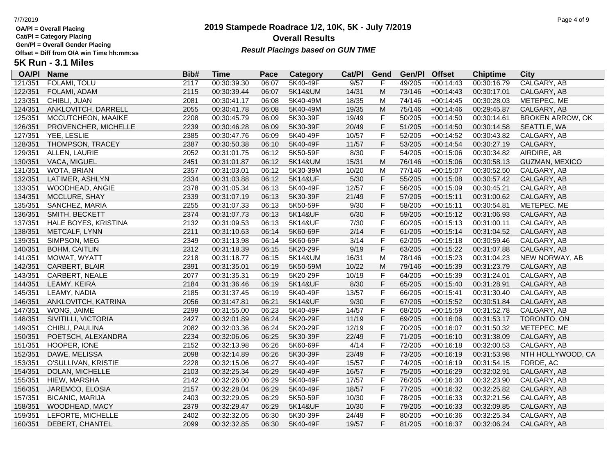**Cat/Pl = Category Placing**

**Gen/Pl = Overall Gender Placing**

# **2019 Stampede Roadrace 1/2, 10K, 5K - July 7/2019** 7/7/2019 Page 4 of 9 **Overall Results** Gen/PI = Overall Gender Placing<br>Offset = Diff from O/A win Time hh:mm:ss *Result Placings based on GUN TIME*

| <b>OA/PI</b> | <b>Name</b>            | Bib# | Time        | Pace  | <b>Category</b> | Cat/PI | Gend      | Gen/Pl | <b>Offset</b> | <b>Chiptime</b> | City                    |
|--------------|------------------------|------|-------------|-------|-----------------|--------|-----------|--------|---------------|-----------------|-------------------------|
| 121/351      | FOLAMI, TOLU           | 2117 | 00:30:39.30 | 06:07 | 5K40-49F        | 9/57   | F         | 49/205 | $+00:14:43$   | 00:30:16.79     | CALGARY, AB             |
| 122/351      | FOLAMI, ADAM           | 2115 | 00:30:39.44 | 06:07 | 5K14&UM         | 14/31  | M         | 73/146 | $+00:14:43$   | 00:30:17.01     | CALGARY, AB             |
| 123/351      | CHIBLI, JUAN           | 2081 | 00:30:41.17 | 06:08 | 5K40-49M        | 18/35  | M         | 74/146 | $+00:14:45$   | 00:30:28.03     | METEPEC, ME             |
| 124/351      | ANKLOVITCH, DARRELL    | 2055 | 00:30:41.78 | 06:08 | 5K40-49M        | 19/35  | M         | 75/146 | $+00:14:46$   | 00:29:45.87     | CALGARY, AB             |
| 125/351      | MCCUTCHEON, MAAIKE     | 2208 | 00:30:45.79 | 06:09 | 5K30-39F        | 19/49  | F         | 50/205 | $+00:14:50$   | 00:30:14.61     | <b>BROKEN ARROW, OK</b> |
| 126/351      | PROVENCHER, MICHELLE   | 2239 | 00:30:46.28 | 06:09 | 5K30-39F        | 20/49  | F         | 51/205 | $+00:14:50$   | 00:30:14.58     | SEATTLE, WA             |
| 127/351      | YEE, LESLIE            | 2385 | 00:30:47.76 | 06:09 | 5K40-49F        | 10/57  | F         | 52/205 | $+00:14:52$   | 00:30:43.82     | CALGARY, AB             |
| 128/351      | THOMPSON, TRACEY       | 2387 | 00:30:50.38 | 06:10 | 5K40-49F        | 11/57  | F         | 53/205 | $+00:14:54$   | 00:30:27.19     | CALGARY,                |
| 129/351      | ALLEN, LAURIE          | 2052 | 00:31:01.75 | 06:12 | 5K50-59F        | 8/30   | F         | 54/205 | $+00:15:06$   | 00:30:34.82     | AIRDIRE, AB             |
| 130/351      | VACA, MIGUEL           | 2451 | 00:31:01.87 | 06:12 | 5K14&UM         | 15/31  | ${\sf M}$ | 76/146 | $+00:15:06$   | 00:30:58.13     | <b>GUZMAN, MEXICO</b>   |
| 131/351      | WOTA, BRIAN            | 2357 | 00:31:03.01 | 06:12 | 5K30-39M        | 10/20  | M         | 77/146 | $+00:15:07$   | 00:30:52.50     | CALGARY, AB             |
| 132/351      | LATIMER, ASHLYN        | 2334 | 00:31:03.88 | 06:12 | 5K14&UF         | $5/30$ | F         | 55/205 | $+00:15:08$   | 00:30:57.42     | CALGARY, AB             |
| 133/351      | WOODHEAD, ANGIE        | 2378 | 00:31:05.34 | 06:13 | 5K40-49F        | 12/57  | F         | 56/205 | $+00:15:09$   | 00:30:45.21     | CALGARY, AB             |
| 134/351      | MCCLURE, SHAY          | 2339 | 00:31:07.19 | 06:13 | 5K30-39F        | 21/49  | F         | 57/205 | $+00:15:11$   | 00:31:00.62     | CALGARY, AB             |
| 135/351      | SANCHEZ, MARIA         | 2255 | 00:31:07.33 | 06:13 | 5K50-59F        | 9/30   | F         | 58/205 | $+00:15:11$   | 00:30:54.81     | METEPEC, ME             |
| 136/351      | SMITH, BECKETT         | 2374 | 00:31:07.73 | 06:13 | 5K14&UF         | 6/30   | F         | 59/205 | $+00:15:12$   | 00:31:06.93     | CALGARY, AB             |
| 137/351      | HALE BOYES, KRISTINA   | 2132 | 00:31:09.53 | 06:13 | 5K14&UF         | 7/30   | F         | 60/205 | $+00:15:13$   | 00:31:00.11     | CALGARY, AB             |
| 138/351      | METCALF, LYNN          | 2211 | 00:31:10.63 | 06:14 | 5K60-69F        | 2/14   | F         | 61/205 | $+00:15:14$   | 00:31:04.52     | CALGARY, AB             |
| 139/351      | SIMPSON, MEG           | 2349 | 00:31:13.98 | 06:14 | 5K60-69F        | 3/14   | F         | 62/205 | $+00:15:18$   | 00:30:59.46     | CALGARY, AB             |
| 140/351      | <b>BOHM, CAITLIN</b>   | 2312 | 00:31:18.39 | 06:15 | 5K20-29F        | 9/19   | F         | 63/205 | $+00:15:22$   | 00:31:07.88     | CALGARY, AB             |
| 141/351      | MOWAT, WYATT           | 2218 | 00:31:18.77 | 06:15 | 5K14&UM         | 16/31  | M         | 78/146 | $+00:15:23$   | 00:31:04.23     | NEW NORWAY, AB          |
| 142/351      | CARBERT, BLAIR         | 2391 | 00:31:35.01 | 06:19 | 5K50-59M        | 10/22  | M         | 79/146 | $+00:15:39$   | 00:31:23.79     | CALGARY, AB             |
| 143/351      | CARBERT, NEALE         | 2077 | 00:31:35.31 | 06:19 | 5K20-29F        | 10/19  | F         | 64/205 | $+00:15:39$   | 00:31:24.01     | CALGARY, AB             |
| 144/351      | LEAMY, KEIRA           | 2184 | 00:31:36.46 | 06:19 | 5K14&UF         | 8/30   | F         | 65/205 | $+00:15:40$   | 00:31:28.91     | CALGARY, AB             |
| 145/351      | LEAMY, NADIA           | 2185 | 00:31:37.45 | 06:19 | 5K40-49F        | 13/57  | F         | 66/205 | $+00:15:41$   | 00:31:30.40     | CALGARY, AB             |
| 146/351      | ANKLOVITCH, KATRINA    | 2056 | 00:31:47.81 | 06:21 | 5K14&UF         | 9/30   | F         | 67/205 | $+00:15:52$   | 00:30:51.84     | CALGARY, AB             |
| 147/351      | WONG, JAIME            | 2299 | 00:31:55.00 | 06:23 | 5K40-49F        | 14/57  | F         | 68/205 | $+00:15:59$   | 00:31:52.78     | CALGARY, AB             |
| 148/351      | SIVITILLI, VICTORIA    | 2427 | 00:32:01.89 | 06:24 | 5K20-29F        | 11/19  | F         | 69/205 | $+00:16:06$   | 00:31:53.17     | TORONTO, ON             |
| 149/351      | CHIBLI, PAULINA        | 2082 | 00:32:03.36 | 06:24 | 5K20-29F        | 12/19  | F         | 70/205 | $+00:16:07$   | 00:31:50.32     | METEPEC, ME             |
| 150/351      | POETSCH, ALEXANDRA     | 2234 | 00:32:06.06 | 06:25 | 5K30-39F        | 22/49  | F         | 71/205 | $+00:16:10$   | 00:31:38.09     | CALGARY, AB             |
| 151/351      | HOOPER, IONE           | 2152 | 00:32:13.98 | 06:26 | 5K60-69F        | 4/14   | F         | 72/205 | $+00:16:18$   | 00:32:00.53     | CALGARY, AB             |
| 152/351      | DAWE, MELISSA          | 2098 | 00:32:14.89 | 06:26 | 5K30-39F        | 23/49  | F         | 73/205 | $+00:16:19$   | 00:31:53.98     | NTH HOLLYWOOD, CA       |
| 153/351      | O'SULLIVAN, KRISTIE    | 2228 | 00:32:15.06 | 06:27 | 5K40-49F        | 15/57  | F         | 74/205 | $+00:16:19$   | 00:31:54.15     | FORDE, AC               |
| 154/351      | DOLAN, MICHELLE        | 2103 | 00:32:25.34 | 06:29 | 5K40-49F        | 16/57  | F         | 75/205 | $+00:16:29$   | 00:32:02.91     | CALGARY, AB             |
| 155/351      | HIEW, MARSHA           | 2142 | 00:32:26.00 | 06:29 | 5K40-49F        | 17/57  | F         | 76/205 | $+00:16:30$   | 00:32:23.90     | CALGARY, AB             |
| 156/351      | JAREMCO, ELOSIA        | 2157 | 00:32:28.04 | 06:29 | 5K40-49F        | 18/57  | F         | 77/205 | $+00:16:32$   | 00:32:25.82     | CALGARY, AB             |
| 157/351      | <b>BICANIC, MARIJA</b> | 2403 | 00:32:29.05 | 06:29 | 5K50-59F        | 10/30  | F         | 78/205 | $+00:16:33$   | 00:32:21.56     | CALGARY, AB             |
| 158/351      | WOODHEAD, MACY         | 2379 | 00:32:29.47 | 06:29 | 5K14&UF         | 10/30  | F         | 79/205 | $+00:16:33$   | 00:32:09.85     | CALGARY, AB             |
| 159/351      | LEFORTE, MICHELLE      | 2402 | 00:32:32.05 | 06:30 | 5K30-39F        | 24/49  | F         | 80/205 | $+00:16:36$   | 00:32:25.34     | CALGARY, AB             |
| 160/351      | DEBERT, CHANTEL        | 2099 | 00:32:32.85 | 06:30 | 5K40-49F        | 19/57  | F.        | 81/205 | $+00:16:37$   | 00:32:06.24     | CALGARY, AB             |
|              |                        |      |             |       |                 |        |           |        |               |                 |                         |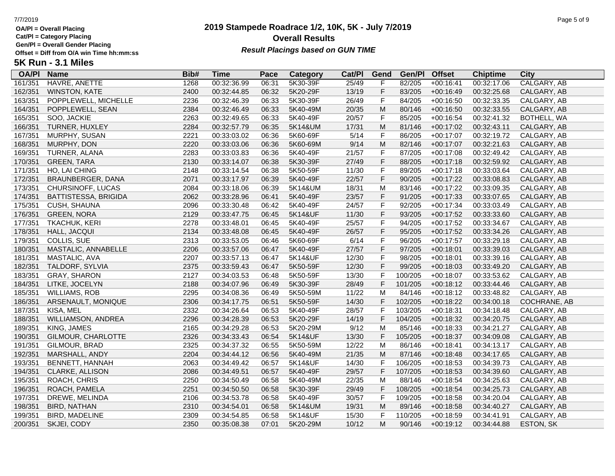**Cat/Pl = Category Placing**

**Gen/Pl = Overall Gender Placing**

### **2019 Stampede Roadrace 1/2, 10K, 5K - July 7/2019** 7/7/2019 Page 5 of 9 **Overall Results Result Placings based on GUN TIME**

| <b>OA/PI</b> | <b>Name</b>            | Bib# | Time        | Pace  | Category | Cat/PI | Gend         | Gen/Pl  | <b>Offset</b> | <b>Chiptime</b> | City                |
|--------------|------------------------|------|-------------|-------|----------|--------|--------------|---------|---------------|-----------------|---------------------|
| 161/351      | HAVRE, ANETTE          | 1268 | 00:32:36.99 | 06:31 | 5K30-39F | 25/49  | F            | 82/205  | $+00:16:41$   | 00:32:17.06     | CALGARY, AB         |
| 162/351      | <b>WINSTON, KATE</b>   | 2400 | 00:32:44.85 | 06:32 | 5K20-29F | 13/19  | F            | 83/205  | $+00:16:49$   | 00:32:25.68     | CALGARY, AB         |
| 163/351      | POPPLEWELL, MICHELLE   | 2236 | 00:32:46.39 | 06:33 | 5K30-39F | 26/49  | $\mathsf F$  | 84/205  | $+00:16:50$   | 00:32:33.35     | CALGARY, AB         |
| 164/351      | POPPLEWELL, SEAN       | 2384 | 00:32:46.49 | 06:33 | 5K40-49M | 20/35  | ${\sf M}$    | 80/146  | $+00:16:50$   | 00:32:33.55     | CALGARY, AB         |
| 165/351      | SOO, JACKIE            | 2263 | 00:32:49.65 | 06:33 | 5K40-49F | 20/57  | $\mathsf F$  | 85/205  | $+00:16:54$   | 00:32:41.32     | BOTHELL, WA         |
| 166/351      | TURNER, HUXLEY         | 2284 | 00:32:57.79 | 06:35 | 5K14&UM  | 17/31  | M            | 81/146  | $+00:17:02$   | 00:32:43.11     | CALGARY, AB         |
| 167/351      | MURPHY, SUSAN          | 2221 | 00:33:03.02 | 06:36 | 5K60-69F | 5/14   | F            | 86/205  | $+00:17:07$   | 00:32:19.72     | CALGARY, AB         |
| 168/351      | MURPHY, DON            | 2220 | 00:33:03.06 | 06:36 | 5K60-69M | 9/14   | M            | 82/146  | $+00:17:07$   | 00:32:21.63     | CALGARY, AB         |
| 169/351      | TURNER, ALANA          | 2283 | 00:33:03.83 | 06:36 | 5K40-49F | 21/57  | F            | 87/205  | $+00:17:08$   | 00:32:49.42     | CALGARY, AB         |
| 170/351      | <b>GREEN, TARA</b>     | 2130 | 00:33:14.07 | 06:38 | 5K30-39F | 27/49  | $\mathsf F$  | 88/205  | $+00:17:18$   | 00:32:59.92     | CALGARY, AB         |
| 171/351      | HO, LAI CHING          | 2148 | 00:33:14.54 | 06:38 | 5K50-59F | 11/30  | F            | 89/205  | $+00:17:18$   | 00:33:03.64     | CALGARY, AB         |
| 172/351      | BRAUNBERGER, DANA      | 2071 | 00:33:17.97 | 06:39 | 5K40-49F | 22/57  | F            | 90/205  | $+00:17:22$   | 00:33:08.83     | CALGARY, AB         |
| 173/351      | CHURSINOFF, LUCAS      | 2084 | 00:33:18.06 | 06:39 | 5K14&UM  | 18/31  | M            | 83/146  | $+00:17:22$   | 00:33:09.35     | CALGARY, AB         |
| 174/351      | BATTISTESSA, BRIGIDA   | 2062 | 00:33:28.96 | 06:41 | 5K40-49F | 23/57  | F            | 91/205  | $+00:17:33$   | 00:33:07.65     | CALGARY, AB         |
| 175/351      | <b>CUSH, SHAUNA</b>    | 2096 | 00:33:30.48 | 06:42 | 5K40-49F | 24/57  | F            | 92/205  | $+00:17:34$   | 00:33:03.49     | CALGARY, AB         |
| 176/351      | <b>GREEN, NORA</b>     | 2129 | 00:33:47.75 | 06:45 | 5K14&UF  | 11/30  | F            | 93/205  | $+00:17:52$   | 00:33:33.60     | CALGARY, AB         |
| 177/351      | <b>TKACHUK, KERI</b>   | 2278 | 00:33:48.01 | 06:45 | 5K40-49F | 25/57  | F            | 94/205  | $+00:17:52$   | 00:33:34.67     | CALGARY, AB         |
| 178/351      | HALL, JACQUI           | 2134 | 00:33:48.08 | 06:45 | 5K40-49F | 26/57  | F            | 95/205  | $+00:17:52$   | 00:33:34.26     | CALGARY, AB         |
| 179/351      | COLLIS, SUE            | 2313 | 00:33:53.05 | 06:46 | 5K60-69F | 6/14   | F            | 96/205  | $+00:17:57$   | 00:33:29.18     | CALGARY, AB         |
| 180/351      | MASTALIC, ANNABELLE    | 2206 | 00:33:57.06 | 06:47 | 5K40-49F | 27/57  | $\mathsf F$  | 97/205  | $+00:18:01$   | 00:33:39.03     | CALGARY, AB         |
| 181/351      | MASTALIC, AVA          | 2207 | 00:33:57.13 | 06:47 | 5K14&UF  | 12/30  | $\mathsf F$  | 98/205  | $+00:18:01$   | 00:33:39.16     | CALGARY, AB         |
| 182/351      | TALDORF, SYLVIA        | 2375 | 00:33:59.43 | 06:47 | 5K50-59F | 12/30  | F            | 99/205  | $+00:18:03$   | 00:33:49.20     | CALGARY, AB         |
| 183/351      | <b>GRAY, SHARON</b>    | 2127 | 00:34:03.53 | 06:48 | 5K50-59F | 13/30  | $\mathsf{F}$ | 100/205 | $+00:18:07$   | 00:33:53.62     | CALGARY, AB         |
| 184/351      | LITKE, JOCELYN         | 2188 | 00:34:07.96 | 06:49 | 5K30-39F | 28/49  | $\mathsf F$  | 101/205 | $+00:18:12$   | 00:33:44.46     | CALGARY, AB         |
| 185/351      | <b>WILLIAMS, ROB</b>   | 2295 | 00:34:08.36 | 06:49 | 5K50-59M | 11/22  | M            | 84/146  | $+00:18:12$   | 00:33:48.82     | CALGARY, AB         |
| 186/351      | ARSENAULT, MONIQUE     | 2306 | 00:34:17.75 | 06:51 | 5K50-59F | 14/30  | F            | 102/205 | $+00:18:22$   | 00:34:00.18     | <b>COCHRANE, AB</b> |
| 187/351      | KISA, MEL              | 2332 | 00:34:26.64 | 06:53 | 5K40-49F | 28/57  | F            | 103/205 | $+00:18:31$   | 00:34:18.48     | CALGARY, AB         |
| 188/351      | WILLIAMSON, ANDREA     | 2296 | 00:34:28.39 | 06:53 | 5K20-29F | 14/19  | F            | 104/205 | $+00:18:32$   | 00:34:20.75     | CALGARY, AB         |
| 189/351      | KING, JAMES            | 2165 | 00:34:29.28 | 06:53 | 5K20-29M | 9/12   | M            | 85/146  | $+00:18:33$   | 00:34:21.27     | CALGARY, AB         |
| 190/351      | GILMOUR, CHARLOTTE     | 2326 | 00:34:33.43 | 06:54 | 5K14&UF  | 13/30  | $\mathsf F$  | 105/205 | $+00:18:37$   | 00:34:09.08     | CALGARY, AB         |
| 191/351      | GILMOUR, BRAD          | 2325 | 00:34:37.32 | 06:55 | 5K50-59M | 12/22  | M            | 86/146  | $+00:18:41$   | 00:34:13.17     | CALGARY, AB         |
| 192/351      | MARSHALL, ANDY         | 2204 | 00:34:44.12 | 06:56 | 5K40-49M | 21/35  | M            | 87/146  | $+00:18:48$   | 00:34:17.65     | CALGARY, AB         |
| 193/351      | <b>BENNETT, HANNAH</b> | 2063 | 00:34:49.42 | 06:57 | 5K14&UF  | 14/30  | F            | 106/205 | $+00:18:53$   | 00:34:39.73     | CALGARY, AB         |
| 194/351      | CLARKE, ALLISON        | 2086 | 00:34:49.51 | 06:57 | 5K40-49F | 29/57  | F            | 107/205 | $+00:18:53$   | 00:34:39.60     | CALGARY, AB         |
| 195/351      | ROACH, CHRIS           | 2250 | 00:34:50.49 | 06:58 | 5K40-49M | 22/35  | M            | 88/146  | $+00:18:54$   | 00:34:25.63     | CALGARY, AB         |
| 196/351      | ROACH, PAMELA          | 2251 | 00:34:50.50 | 06:58 | 5K30-39F | 29/49  | F            | 108/205 | $+00:18:54$   | 00:34:25.73     | CALGARY, AB         |
| 197/351      | DREWE, MELINDA         | 2106 | 00:34:53.78 | 06:58 | 5K40-49F | 30/57  | F            | 109/205 | $+00:18:58$   | 00:34:20.04     | CALGARY, AB         |
| 198/351      | <b>BIRD, NATHAN</b>    | 2310 | 00:34:54.01 | 06:58 | 5K14&UM  | 19/31  | M            | 89/146  | $+00:18:58$   | 00:34:40.27     | CALGARY, AB         |
| 199/351      | BIRD, MADELINE         | 2309 | 00:34:54.85 | 06:58 | 5K14&UF  | 15/30  | F            | 110/205 | $+00:18:59$   | 00:34:41.91     | CALGARY, AB         |
| 200/351      | SKJEI, CODY            | 2350 | 00:35:08.38 | 07:01 | 5K20-29M | 10/12  | M            | 90/146  | $+00:19:12$   | 00:34:44.88     | ESTON, SK           |
|              |                        |      |             |       |          |        |              |         |               |                 |                     |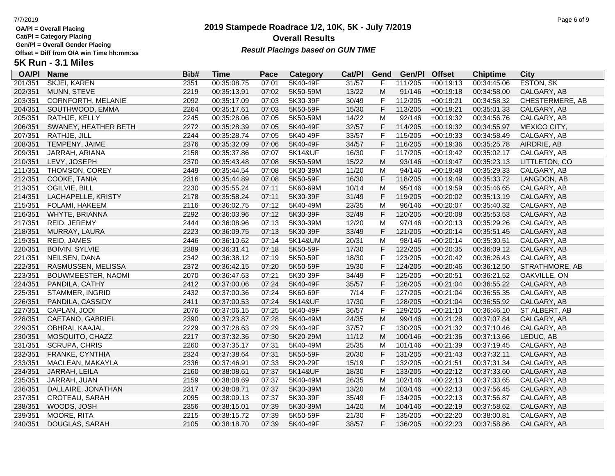**Cat/Pl = Category Placing**

**Gen/Pl = Overall Gender Placing**

### **2019 Stampede Roadrace 1/2, 10K, 5K - July 7/2019** 7/7/2019 Page 6 of 9 **Overall Results Result Placings based on GUN TIME**

| <b>OA/PI</b> | <b>Name</b>               | Bib# | <b>Time</b> | Pace  | <b>Category</b> | Cat/PI | Gend         | Gen/Pl  | <b>Offset</b> | <b>Chiptime</b> | City             |
|--------------|---------------------------|------|-------------|-------|-----------------|--------|--------------|---------|---------------|-----------------|------------------|
| 201/351      | <b>SKJEI, KAREN</b>       | 2351 | 00:35:08.75 | 07:01 | 5K40-49F        | 31/57  | F.           | 111/205 | $+00:19:13$   | 00:34:45.06     | <b>ESTON, SK</b> |
| 202/351      | MUNN, STEVE               | 2219 | 00:35:13.91 | 07:02 | 5K50-59M        | 13/22  | M            | 91/146  | $+00:19:18$   | 00:34:58.00     | CALGARY, AB      |
| 203/351      | CORNFORTH, MELANIE        | 2092 | 00:35:17.09 | 07:03 | 5K30-39F        | 30/49  | F            | 112/205 | $+00:19:21$   | 00:34:58.32     | CHESTERMERE, AB  |
| 204/351      | SOUTHWOOD, EMMA           | 2264 | 00:35:17.61 | 07:03 | 5K50-59F        | 15/30  | F            | 113/205 | $+00:19:21$   | 00:35:01.33     | CALGARY, AB      |
| 205/351      | RATHJE, KELLY             | 2245 | 00:35:28.06 | 07:05 | 5K50-59M        | 14/22  | M            | 92/146  | $+00:19:32$   | 00:34:56.76     | CALGARY, AB      |
| 206/351      | SWANEY, HEATHER BETH      | 2272 | 00:35:28.39 | 07:05 | 5K40-49F        | 32/57  | F            | 114/205 | $+00:19:32$   | 00:34:55.97     | MEXICO CITY,     |
| 207/351      | RATHJE, JILL              | 2244 | 00:35:28.74 | 07:05 | 5K40-49F        | 33/57  | F            | 115/205 | $+00:19:33$   | 00:34:58.49     | CALGARY, AB      |
| 208/351      | TEMPENY, JAIME            | 2376 | 00:35:32.09 | 07:06 | 5K40-49F        | 34/57  | F            | 116/205 | $+00:19:36$   | 00:35:25.78     | AIRDRIE, AB      |
| 209/351      | JARRAH, ARIANA            | 2158 | 00:35:37.86 | 07:07 | 5K14&UF         | 16/30  | F            | 117/205 | $+00:19:42$   | 00:35:02.17     | CALGARY, AB      |
| 210/351      | LEVY, JOSEPH              | 2370 | 00:35:43.48 | 07:08 | 5K50-59M        | 15/22  | M            | 93/146  | $+00:19:47$   | 00:35:23.13     | LITTLETON, CO    |
| 211/351      | THOMSON, COREY            | 2449 | 00:35:44.54 | 07:08 | 5K30-39M        | 11/20  | M            | 94/146  | $+00:19:48$   | 00:35:29.33     | CALGARY, AB      |
| 212/351      | COOKE, TANIA              | 2316 | 00:35:44.89 | 07:08 | 5K50-59F        | 16/30  | F            | 118/205 | $+00:19:49$   | 00:35:33.72     | LANGDON, AB      |
| 213/351      | OGILVIE, BILL             | 2230 | 00:35:55.24 | 07:11 | 5K60-69M        | 10/14  | M            | 95/146  | $+00:19:59$   | 00:35:46.65     | CALGARY, AB      |
| 214/351      | LACHAPELLE, KRISTY        | 2178 | 00:35:58.24 | 07:11 | 5K30-39F        | 31/49  | F            | 119/205 | $+00:20:02$   | 00:35:13.19     | CALGARY, AB      |
| 215/351      | <b>FOLAMI, HAKEEM</b>     | 2116 | 00:36:02.75 | 07:12 | 5K40-49M        | 23/35  | M            | 96/146  | $+00:20:07$   | 00:35:40.32     | CALGARY, AB      |
| 216/351      | WHYTE, BRIANNA            | 2292 | 00:36:03.96 | 07:12 | 5K30-39F        | 32/49  | F            | 120/205 | $+00:20:08$   | 00:35:53.53     | CALGARY, AB      |
| 217/351      | REID, JEREMY              | 2444 | 00:36:08.96 | 07:13 | 5K30-39M        | 12/20  | M            | 97/146  | $+00:20:13$   | 00:35:29.26     | CALGARY, AB      |
| 218/351      | MURRAY, LAURA             | 2223 | 00:36:09.75 | 07:13 | 5K30-39F        | 33/49  | F            | 121/205 | $+00:20:14$   | 00:35:51.45     | CALGARY, AB      |
| 219/351      | REID, JAMES               | 2446 | 00:36:10.62 | 07:14 | 5K14&UM         | 20/31  | M            | 98/146  | $+00:20:14$   | 00:35:30.51     | CALGARY, AB      |
| 220/351      | <b>BOIVIN, SYLVIE</b>     | 2389 | 00:36:31.41 | 07:18 | 5K50-59F        | 17/30  | F            | 122/205 | $+00:20:35$   | 00:36:09.12     | CALGARY, AB      |
| 221/351      | NEILSEN, DANA             | 2342 | 00:36:38.12 | 07:19 | 5K50-59F        | 18/30  | F            | 123/205 | $+00:20:42$   | 00:36:26.43     | CALGARY, AB      |
| 222/351      | RASMUSSEN, MELISSA        | 2372 | 00:36:42.15 | 07:20 | 5K50-59F        | 19/30  | F            | 124/205 | $+00:20:46$   | 00:36:12.50     | STRATHMORE, AB   |
| 223/351      | <b>BOUWMEESTER, NAOMI</b> | 2070 | 00:36:47.63 | 07:21 | 5K30-39F        | 34/49  | F            | 125/205 | $+00:20:51$   | 00:36:21.52     | OAKVILLE, ON     |
| 224/351      | PANDILA, CATHY            | 2412 | 00:37:00.06 | 07:24 | 5K40-49F        | 35/57  | F            | 126/205 | $+00:21:04$   | 00:36:55.22     | CALGARY, AB      |
| 225/351      | STAMMER, INGRID           | 2432 | 00:37:00.36 | 07:24 | 5K60-69F        | 7/14   | F            | 127/205 | $+00:21:04$   | 00:36:55.35     | CALGARY, AB      |
| 226/351      | PANDILA, CASSIDY          | 2411 | 00:37:00.53 | 07:24 | 5K14&UF         | 17/30  | F            | 128/205 | $+00:21:04$   | 00:36:55.92     | CALGARY, AB      |
| 227/351      | CAPLAN, JODI              | 2076 | 00:37:06.15 | 07:25 | 5K40-49F        | 36/57  | $\mathsf{F}$ | 129/205 | $+00:21:10$   | 00:36:46.10     | ST ALBERT, AB    |
| 228/351      | CAETANO, GABRIEL          | 2390 | 00:37:23.87 | 07:28 | 5K40-49M        | 24/35  | M            | 99/146  | $+00:21:28$   | 00:37:07.84     | CALGARY, AB      |
| 229/351      | OBHRAI, KAAJAL            | 2229 | 00:37:28.63 | 07:29 | 5K40-49F        | 37/57  | F            | 130/205 | $+00:21:32$   | 00:37:10.46     | CALGARY, AB      |
| 230/351      | MOSQUITO, CHAZZ           | 2217 | 00:37:32.36 | 07:30 | 5K20-29M        | 11/12  | M            | 100/146 | $+00:21:36$   | 00:37:13.66     | LEDUC, AB        |
| 231/351      | <b>SCRUPA, CHRIS</b>      | 2260 | 00:37:35.17 | 07:31 | 5K40-49M        | 25/35  | M            | 101/146 | $+00:21:39$   | 00:37:19.45     | CALGARY, AB      |
| 232/351      | FRANKE, CYNTHIA           | 2324 | 00:37:38.64 | 07:31 | 5K50-59F        | 20/30  | F            | 131/205 | $+00:21:43$   | 00:37:32.11     | CALGARY, AB      |
| 233/351      | MACLEAN, MAKAYLA          | 2336 | 00:37:46.91 | 07:33 | 5K20-29F        | 15/19  | $\mathsf F$  | 132/205 | $+00:21:51$   | 00:37:31.34     | CALGARY, AB      |
| 234/351      | JARRAH, LEILA             | 2160 | 00:38:08.61 | 07:37 | 5K14&UF         | 18/30  | F            | 133/205 | $+00:22:12$   | 00:37:33.60     | CALGARY, AB      |
| 235/351      | JARRAH, JUAN              | 2159 | 00:38:08.69 | 07:37 | 5K40-49M        | 26/35  | M            | 102/146 | $+00:22:13$   | 00:37:33.65     | CALGARY, AB      |
| 236/351      | DALLAIRE, JONATHAN        | 2317 | 00:38:08.71 | 07:37 | 5K30-39M        | 13/20  | M            | 103/146 | $+00:22:13$   | 00:37:56.45     | CALGARY, AB      |
| 237/351      | CROTEAU, SARAH            | 2095 | 00:38:09.13 | 07:37 | 5K30-39F        | 35/49  | $\mathsf{F}$ | 134/205 | $+00:22:13$   | 00:37:56.87     | CALGARY, AB      |
| 238/351      | WOODS, JOSH               | 2356 | 00:38:15.01 | 07:39 | 5K30-39M        | 14/20  | M            | 104/146 | $+00:22:19$   | 00:37:58.62     | CALGARY, AB      |
| 239/351      | MOORE, RITA               | 2215 | 00:38:15.72 | 07:39 | 5K50-59F        | 21/30  | F            | 135/205 | $+00:22:20$   | 00:38:00.81     | CALGARY, AB      |
| 240/351      | DOUGLAS, SARAH            | 2105 | 00:38:18.70 | 07:39 | 5K40-49F        | 38/57  | F.           | 136/205 | $+00:22:23$   | 00:37:58.86     | CALGARY, AB      |
|              |                           |      |             |       |                 |        |              |         |               |                 |                  |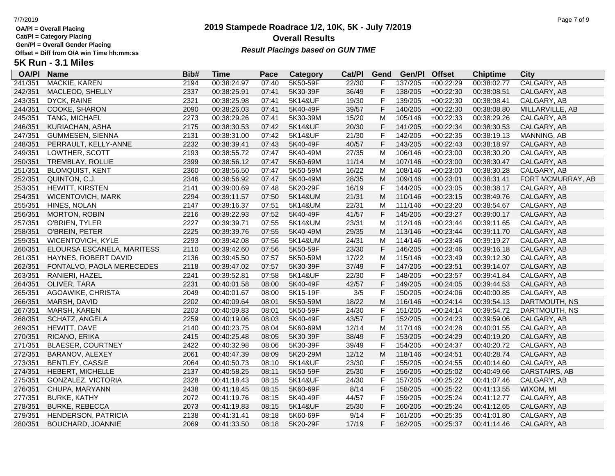**Cat/Pl = Category Placing**

**Gen/Pl = Overall Gender Placing**

# **2019 Stampede Roadrace 1/2, 10K, 5K - July 7/2019** 7/7/2019 Page 7 of 9 **Overall Results** Gen/PI = Overall Gender Placing<br>Offset = Diff from O/A win Time hh:mm:ss *Result Placings based on GUN TIME*

| <b>OA/PI</b> | <b>Name</b>                | Bib# | Time        | Pace  | <b>Category</b> | Cat/PI | Gend         | Gen/Pl  | <b>Offset</b> | <b>Chiptime</b> | City              |
|--------------|----------------------------|------|-------------|-------|-----------------|--------|--------------|---------|---------------|-----------------|-------------------|
| 241/351      | <b>MACKIE, KAREN</b>       | 2194 | 00:38:24.97 | 07:40 | 5K50-59F        | 22/30  | F            | 137/205 | $+00:22:29$   | 00:38:02.77     | CALGARY, AB       |
| 242/351      | MACLEOD, SHELLY            | 2337 | 00:38:25.91 | 07:41 | 5K30-39F        | 36/49  | F            | 138/205 | $+00:22:30$   | 00:38:08.51     | CALGARY, AB       |
| 243/351      | DYCK, RAINE                | 2321 | 00:38:25.98 | 07:41 | 5K14&UF         | 19/30  | F            | 139/205 | $+00:22:30$   | 00:38:08.41     | CALGARY, AB       |
| 244/351      | COOKE, SHARON              | 2090 | 00:38:26.03 | 07:41 | 5K40-49F        | 39/57  | F            | 140/205 | $+00:22:30$   | 00:38:08.80     | MILLARVILLE, AB   |
| 245/351      | TANG, MICHAEL              | 2273 | 00:38:29.26 | 07:41 | 5K30-39M        | 15/20  | M            | 105/146 | $+00:22:33$   | 00:38:29.26     | CALGARY, AB       |
| 246/351      | KURIACHAN, ASHA            | 2175 | 00:38:30.53 | 07:42 | 5K14&UF         | 20/30  | F            | 141/205 | $+00:22:34$   | 00:38:30.53     | CALGARY, AB       |
| 247/351      | GUMMESEN, SIENNA           | 2131 | 00:38:31.00 | 07:42 | 5K14&UF         | 21/30  | $\mathsf{F}$ | 142/205 | $+00:22:35$   | 00:38:19.13     | MANNING, AB       |
| 248/351      | PERRAULT, KELLY-ANNE       | 2232 | 00:38:39.41 | 07:43 | 5K40-49F        | 40/57  | $\mathsf F$  | 143/205 | $+00:22:43$   | 00:38:18.97     | CALGARY, AB       |
| 249/351      | LOWTHER, SCOTT             | 2193 | 00:38:55.72 | 07:47 | 5K40-49M        | 27/35  | M            | 106/146 | $+00:23:00$   | 00:38:30.20     | CALGARY, AB       |
| 250/351      | TREMBLAY, ROLLIE           | 2399 | 00:38:56.12 | 07:47 | 5K60-69M        | 11/14  | M            | 107/146 | $+00:23:00$   | 00:38:30.47     | CALGARY, AB       |
| 251/351      | <b>BLOMQUIST, KENT</b>     | 2360 | 00:38:56.50 | 07:47 | 5K50-59M        | 16/22  | M            | 108/146 | $+00:23:00$   | 00:38:30.28     | CALGARY, AB       |
| 252/351      | QUINTON, C.J.              | 2346 | 00:38:56.92 | 07:47 | 5K40-49M        | 28/35  | M            | 109/146 | $+00:23:01$   | 00:38:31.41     | FORT MCMURRAY, AB |
| 253/351      | <b>HEWITT, KIRSTEN</b>     | 2141 | 00:39:00.69 | 07:48 | 5K20-29F        | 16/19  | F            | 144/205 | $+00:23:05$   | 00:38:38.17     | CALGARY, AB       |
| 254/351      | WICENTOVICH, MARK          | 2294 | 00:39:11.57 | 07:50 | 5K14&UM         | 21/31  | M            | 110/146 | $+00:23:15$   | 00:38:49.76     | CALGARY, AB       |
| 255/351      | HINES, NOLAN               | 2147 | 00:39:16.37 | 07:51 | 5K14&UM         | 22/31  | M            | 111/146 | $+00:23:20$   | 00:38:54.67     | CALGARY, AB       |
| 256/351      | <b>MORTON, ROBIN</b>       | 2216 | 00:39:22.93 | 07:52 | 5K40-49F        | 41/57  | $\mathsf F$  | 145/205 | $+00:23:27$   | 00:39:00.17     | CALGARY, AB       |
| 257/351      | O'BRIEN, TYLER             | 2227 | 00:39:39.71 | 07:55 | 5K14&UM         | 23/31  | M            | 112/146 | $+00:23:44$   | 00:39:11.65     | CALGARY, AB       |
| 258/351      | O'BREIN, PETER             | 2225 | 00:39:39.76 | 07:55 | 5K40-49M        | 29/35  | M            | 113/146 | $+00:23:44$   | 00:39:11.70     | CALGARY, AB       |
| 259/351      | WICENTOVICH, KYLE          | 2293 | 00:39:42.08 | 07:56 | 5K14&UM         | 24/31  | м            | 114/146 | $+00:23:46$   | 00:39:19.27     | CALGARY, AB       |
| 260/351      | ELOURSA ESCANELA, MARITESS | 2110 | 00:39:42.60 | 07:56 | 5K50-59F        | 23/30  | F            | 146/205 | $+00:23:46$   | 00:39:16.18     | CALGARY, AB       |
| 261/351      | HAYNES, ROBERT DAVID       | 2136 | 00:39:45.50 | 07:57 | 5K50-59M        | 17/22  | M            | 115/146 | $+00:23:49$   | 00:39:12.30     | CALGARY, AB       |
| 262/351      | FONTALVO, PAOLA MERECEDES  | 2118 | 00:39:47.02 | 07:57 | 5K30-39F        | 37/49  | $\mathsf F$  | 147/205 | $+00:23:51$   | 00:39:14.07     | CALGARY, AB       |
| 263/351      | RANIERI, HAZEL             | 2241 | 00:39:52.81 | 07:58 | 5K14&UF         | 22/30  | $\mathsf F$  | 148/205 | $+00:23:57$   | 00:39:41.84     | CALGARY, AB       |
| 264/351      | OLIVER, TARA               | 2231 | 00:40:01.58 | 08:00 | 5K40-49F        | 42/57  | $\mathsf{F}$ | 149/205 | $+00:24:05$   | 00:39:44.53     | CALGARY, AB       |
| 265/351      | AGOAWIKE, CHRISTA          | 2049 | 00:40:01.67 | 08:00 | 5K15-19F        | 3/5    | $\mathsf{F}$ | 150/205 | $+00:24:06$   | 00:40:00.85     | CALGARY, AB       |
| 266/351      | MARSH, DAVID               | 2202 | 00:40:09.64 | 08:01 | 5K50-59M        | 18/22  | M            | 116/146 | $+00:24:14$   | 00:39:54.13     | DARTMOUTH, NS     |
| 267/351      | MARSH, KAREN               | 2203 | 00:40:09.83 | 08:01 | 5K50-59F        | 24/30  | $\mathsf{F}$ | 151/205 | $+00:24:14$   | 00:39:54.72     | DARTMOUTH, NS     |
| 268/351      | SCHATZ, ANGELA             | 2259 | 00:40:19.06 | 08:03 | 5K40-49F        | 43/57  | F            | 152/205 | $+00:24:23$   | 00:39:59.06     | CALGARY, AB       |
| 269/351      | HEWITT, DAVE               | 2140 | 00:40:23.75 | 08:04 | 5K60-69M        | 12/14  | M            | 117/146 | $+00:24:28$   | 00:40:01.55     | CALGARY, AB       |
| 270/351      | RICANO, ERIKA              | 2415 | 00:40:25.48 | 08:05 | 5K30-39F        | 38/49  | $\mathsf F$  | 153/205 | $+00:24:29$   | 00:40:19.20     | CALGARY, AB       |
| 271/351      | <b>BLAESER, COURTNEY</b>   | 2422 | 00:40:32.98 | 08:06 | 5K30-39F        | 39/49  | $\mathsf{F}$ | 154/205 | $+00:24:37$   | 00:40:20.72     | CALGARY, AB       |
| 272/351      | BARANOV, ALEXEY            | 2061 | 00:40:47.39 | 08:09 | 5K20-29M        | 12/12  | M            | 118/146 | $+00:24:51$   | 00:40:28.74     | CALGARY, AB       |
| 273/351      | <b>BENTLEY, CASSIE</b>     | 2064 | 00:40:50.73 | 08:10 | 5K14&UF         | 23/30  | $\mathsf{F}$ | 155/205 | $+00:24:55$   | 00:40:14.60     | CALGARY, AB       |
| 274/351      | HEBERT, MICHELLE           | 2137 | 00:40:58.25 | 08:11 | 5K50-59F        | 25/30  | $\mathsf F$  | 156/205 | $+00:25:02$   | 00:40:49.66     | CARSTAIRS, AB     |
| 275/351      | GONZALEZ, VICTORIA         | 2328 | 00:41:18.43 | 08:15 | 5K14&UF         | 24/30  | $\mathsf{F}$ | 157/205 | $+00:25:22$   | 00:41:07.46     | CALGARY, AB       |
| 276/351      | CHUPA, MARYANN             | 2438 | 00:41:18.45 | 08:15 | 5K60-69F        | 8/14   | $\mathsf F$  | 158/205 | $+00:25:22$   | 00:41:13.55     | WIXOM, MI         |
| 277/351      | <b>BURKE, KATHY</b>        | 2072 | 00:41:19.76 | 08:15 | 5K40-49F        | 44/57  | F            | 159/205 | $+00:25:24$   | 00:41:12.77     | CALGARY, AB       |
| 278/351      | <b>BURKE, REBECCA</b>      | 2073 | 00:41:19.83 | 08:15 | 5K14&UF         | 25/30  | $\mathsf{F}$ | 160/205 | $+00:25:24$   | 00:41:12.65     | CALGARY, AB       |
| 279/351      | HENDERSON, PATRICIA        | 2138 | 00:41:31.41 | 08:18 | 5K60-69F        | 9/14   | $\mathsf{F}$ | 161/205 | $+00:25:35$   | 00:41:01.80     | CALGARY, AB       |
| 280/351      | <b>BOUCHARD, JOANNIE</b>   | 2069 | 00:41:33.50 | 08:18 | 5K20-29F        | 17/19  | F            | 162/205 | $+00:25:37$   | 00:41:14.46     | CALGARY, AB       |
|              |                            |      |             |       |                 |        |              |         |               |                 |                   |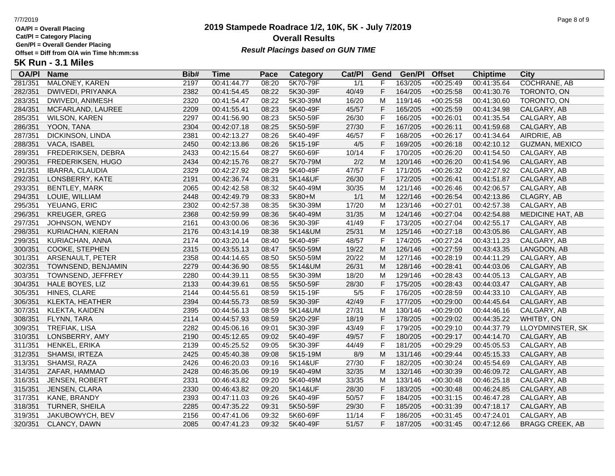**Cat/Pl = Category Placing**

**Gen/Pl = Overall Gender Placing**

# **2019 Stampede Roadrace 1/2, 10K, 5K - July 7/2019** 7/7/2019 Page 8 of 9 **Overall Results** Gen/PI = Overall Gender Placing<br>Offset = Diff from O/A win Time hh:mm:ss *Result Placings based on GUN TIME*

| <b>OA/PI</b> | <b>Name</b>            | Bib# | Time        | Pace  | Category | Cat/PI | Gend         | Gen/Pl  | <b>Offset</b> | <b>Chiptime</b> | City                   |
|--------------|------------------------|------|-------------|-------|----------|--------|--------------|---------|---------------|-----------------|------------------------|
| 281/351      | MALONEY, KAREN         | 2197 | 00:41:44.77 | 08:20 | 5K70-79F | 1/1    |              | 163/205 | $+00:25:49$   | 00:41:35.64     | <b>COCHRANE, AB</b>    |
| 282/351      | DWIVEDI, PRIYANKA      | 2382 | 00:41:54.45 | 08:22 | 5K30-39F | 40/49  | F            | 164/205 | $+00:25:58$   | 00:41:30.76     | TORONTO, ON            |
| 283/351      | DWIVEDI, ANIMESH       | 2320 | 00:41:54.47 | 08:22 | 5K30-39M | 16/20  | M            | 119/146 | $+00:25:58$   | 00:41:30.60     | TORONTO, ON            |
| 284/351      | MCFARLAND, LAUREE      | 2209 | 00:41:55.41 | 08:23 | 5K40-49F | 45/57  | F            | 165/205 | $+00:25:59$   | 00:41:34.98     | CALGARY, AB            |
| 285/351      | <b>WILSON, KAREN</b>   | 2297 | 00:41:56.90 | 08:23 | 5K50-59F | 26/30  | F            | 166/205 | $+00:26:01$   | 00:41:35.54     | CALGARY, AB            |
| 286/351      | YOON, TANA             | 2304 | 00:42:07.18 | 08:25 | 5K50-59F | 27/30  | $\mathsf F$  | 167/205 | $+00:26:11$   | 00:41:59.68     | CALGARY, AB            |
| 287/351      | DICKINSON, LINDA       | 2381 | 00:42:13.27 | 08:26 | 5K40-49F | 46/57  | F            | 168/205 | $+00:26:17$   | 00:41:34.64     | AIRDRIE, AB            |
| 288/351      | VACA, ISABEL           | 2450 | 00:42:13.86 | 08:26 | 5K15-19F | 4/5    | $\mathsf F$  | 169/205 | $+00:26:18$   | 00:42:10.12     | GUZMAN, MEXICO         |
| 289/351      | FREDERIKSEN, DEBRA     | 2433 | 00:42:15.64 | 08:27 | 5K60-69F | 10/14  | $\mathsf F$  | 170/205 | $+00:26:20$   | 00:41:54.50     | CALGARY, AB            |
| 290/351      | FREDERIKSEN, HUGO      | 2434 | 00:42:15.76 | 08:27 | 5K70-79M | 2/2    | M            | 120/146 | $+00:26:20$   | 00:41:54.96     | CALGARY, AB            |
| 291/351      | IBARRA, CLAUDIA        | 2329 | 00:42:27.92 | 08:29 | 5K40-49F | 47/57  | F            | 171/205 | $+00:26:32$   | 00:42:27.92     | CALGARY, AB            |
| 292/351      | LONSBERRY, KATE        | 2191 | 00:42:36.74 | 08:31 | 5K14&UF  | 26/30  | F            | 172/205 | $+00:26:41$   | 00:41:51.87     | CALGARY, AB            |
| 293/351      | <b>BENTLEY, MARK</b>   | 2065 | 00:42:42.58 | 08:32 | 5K40-49M | 30/35  | M            | 121/146 | $+00:26:46$   | 00:42:06.57     | CALGARY, AB            |
| 294/351      | LOUIE, WILLIAM         | 2448 | 00:42:49.79 | 08:33 | 5K80+M   | 1/1    | M            | 122/146 | $+00:26:54$   | 00:42:13.86     | CLAGRY, AB             |
| 295/351      | YEUANG, ERIC           | 2302 | 00:42:57.38 | 08:35 | 5K30-39M | 17/20  | M            | 123/146 | $+00:27:01$   | 00:42:57.38     | CALGARY, AB            |
| 296/351      | <b>KREUGER, GREG</b>   | 2368 | 00:42:59.99 | 08:36 | 5K40-49M | 31/35  | M            | 124/146 | $+00:27:04$   | 00:42:54.88     | MEDICINE HAT, AB       |
| 297/351      | JOHNSON, WENDY         | 2161 | 00:43:00.06 | 08:36 | 5K30-39F | 41/49  | F            | 173/205 | $+00:27:04$   | 00:42:55.17     | CALGARY, AB            |
| 298/351      | KURIACHAN, KIERAN      | 2176 | 00:43:14.19 | 08:38 | 5K14&UM  | 25/31  | M            | 125/146 | $+00:27:18$   | 00:43:05.86     | CALGARY, AB            |
| 299/351      | KURIACHAN, ANNA        | 2174 | 00:43:20.14 | 08:40 | 5K40-49F | 48/57  | F            | 174/205 | $+00:27:24$   | 00:43:11.23     | CALGARY, AB            |
| 300/351      | COOKE, STEPHEN         | 2315 | 00:43:55.13 | 08:47 | 5K50-59M | 19/22  | M            | 126/146 | $+00:27:59$   | 00:43:43.35     | LANGDON, AB            |
| 301/351      | ARSENAULT, PETER       | 2358 | 00:44:14.65 | 08:50 | 5K50-59M | 20/22  | M            | 127/146 | $+00:28:19$   | 00:44:11.29     | CALGARY, AB            |
| 302/351      | TOWNSEND, BENJAMIN     | 2279 | 00:44:36.90 | 08:55 | 5K14&UM  | 26/31  | M            | 128/146 | $+00:28:41$   | 00:44:03.06     | CALGARY, AB            |
| 303/351      | TOWNSEND, JEFFREY      | 2280 | 00:44:39.11 | 08:55 | 5K30-39M | 18/20  | M            | 129/146 | $+00:28:43$   | 00:44:05.13     | CALGARY, AB            |
| 304/351      | <b>HALE BOYES, LIZ</b> | 2133 | 00:44:39.61 | 08:55 | 5K50-59F | 28/30  | F            | 175/205 | $+00:28:43$   | 00:44:03.47     | CALGARY, AB            |
| 305/351      | HINES, CLARE           | 2144 | 00:44:55.61 | 08:59 | 5K15-19F | $5/5$  | F            | 176/205 | $+00:28:59$   | 00:44:33.10     | CALGARY, AB            |
| 306/351      | KLEKTA, HEATHER        | 2394 | 00:44:55.73 | 08:59 | 5K30-39F | 42/49  | F            | 177/205 | $+00:29:00$   | 00:44:45.64     | CALGARY, AB            |
| 307/351      | KLEKTA, KAIDEN         | 2395 | 00:44:56.13 | 08:59 | 5K14&UM  | 27/31  | M            | 130/146 | $+00:29:00$   | 00:44:46.16     | CALGARY, AB            |
| 308/351      | FLYNN, TARA            | 2114 | 00:44:57.93 | 08:59 | 5K20-29F | 18/19  | F            | 178/205 | $+00:29:02$   | 00:44:35.22     | WHITBY, ON             |
| 309/351      | TREFIAK, LISA          | 2282 | 00:45:06.16 | 09:01 | 5K30-39F | 43/49  | $\mathsf{F}$ | 179/205 | $+00:29:10$   | 00:44:37.79     | LLOYDMINSTER, SK       |
| 310/351      | LONSBERRY, AMY         | 2190 | 00:45:12.65 | 09:02 | 5K40-49F | 49/57  | $\mathsf F$  | 180/205 | $+00:29:17$   | 00:44:14.70     | CALGARY, AB            |
| 311/351      | HENKEL, ERIKA          | 2139 | 00:45:25.52 | 09:05 | 5K30-39F | 44/49  | F            | 181/205 | +00:29:29     | 00:45:05.53     | CALGARY, AB            |
| 312/351      | SHAMSI, IRTEZA         | 2425 | 00:45:40.38 | 09:08 | 5K15-19M | 8/9    | M            | 131/146 | $+00:29:44$   | 00:45:15.33     | CALGARY, AB            |
| 313/351      | SHAMSI, RAZA           | 2426 | 00:46:20.03 | 09:16 | 5K14&UF  | 27/30  | $\mathsf{F}$ | 182/205 | $+00:30:24$   | 00:45:54.69     | CALGARY, AB            |
| 314/351      | ZAFAR, HAMMAD          | 2428 | 00:46:35.06 | 09:19 | 5K40-49M | 32/35  | M            | 132/146 | $+00:30:39$   | 00:46:09.72     | CALGARY, AB            |
| 316/351      | JENSEN, ROBERT         | 2331 | 00:46:43.82 | 09:20 | 5K40-49M | 33/35  | M            | 133/146 | $+00:30:48$   | 00:46:25.18     | CALGARY, AB            |
| 315/351      | JENSEN, CLARA          | 2330 | 00:46:43.82 | 09:20 | 5K14&UF  | 28/30  | $\mathsf F$  | 183/205 | $+00:30:48$   | 00:46:24.85     | CALGARY, AB            |
| 317/351      | KANE, BRANDY           | 2393 | 00:47:11.03 | 09:26 | 5K40-49F | 50/57  | $\mathsf F$  | 184/205 | $+00:31:15$   | 00:46:47.28     | CALGARY, AB            |
| 318/351      | TURNER, SHEILA         | 2285 | 00:47:35.22 | 09:31 | 5K50-59F | 29/30  | F            | 185/205 | $+00:31:39$   | 00:47:18.17     | CALGARY, AB            |
| 319/351      | <b>JAKUBOWYCH, BEV</b> | 2156 | 00:47:41.06 | 09:32 | 5K60-69F | 11/14  | E            | 186/205 | $+00:31:45$   | 00:47:24.01     | CALGARY, AB            |
| 320/351      | CLANCY, DAWN           | 2085 | 00:47:41.23 | 09:32 | 5K40-49F | 51/57  | F            | 187/205 | $+00:31:45$   | 00:47:12.66     | <b>BRAGG CREEK, AB</b> |
|              |                        |      |             |       |          |        |              |         |               |                 |                        |